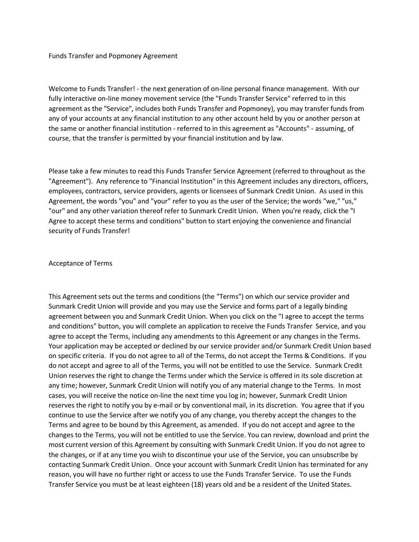Funds Transfer and Popmoney Agreement

Welcome to Funds Transfer! - the next generation of on-line personal finance management. With our fully interactive on-line money movement service (the "Funds Transfer Service" referred to in this agreement as the "Service", includes both Funds Transfer and Popmoney), you may transfer funds from any of your accounts at any financial institution to any other account held by you or another person at the same or another financial institution - referred to in this agreement as "Accounts" - assuming, of course, that the transfer is permitted by your financial institution and by law.

Please take a few minutes to read this Funds Transfer Service Agreement (referred to throughout as the "Agreement"). Any reference to "Financial Institution" in this Agreement includes any directors, officers, employees, contractors, service providers, agents or licensees of Sunmark Credit Union. As used in this Agreement, the words "you" and "your" refer to you as the user of the Service; the words "we," "us," "our" and any other variation thereof refer to Sunmark Credit Union. When you're ready, click the "I Agree to accept these terms and conditions" button to start enjoying the convenience and financial security of Funds Transfer!

#### Acceptance of Terms

This Agreement sets out the terms and conditions (the "Terms") on which our service provider and Sunmark Credit Union will provide and you may use the Service and forms part of a legally binding agreement between you and Sunmark Credit Union. When you click on the "I agree to accept the terms and conditions" button, you will complete an application to receive the Funds Transfer Service, and you agree to accept the Terms, including any amendments to this Agreement or any changes in the Terms. Your application may be accepted or declined by our service provider and/or Sunmark Credit Union based on specific criteria. If you do not agree to all of the Terms, do not accept the Terms & Conditions. If you do not accept and agree to all of the Terms, you will not be entitled to use the Service. Sunmark Credit Union reserves the right to change the Terms under which the Service is offered in its sole discretion at any time; however, Sunmark Credit Union will notify you of any material change to the Terms. In most cases, you will receive the notice on-line the next time you log in; however, Sunmark Credit Union reserves the right to notify you by e-mail or by conventional mail, in its discretion. You agree that if you continue to use the Service after we notify you of any change, you thereby accept the changes to the Terms and agree to be bound by this Agreement, as amended. If you do not accept and agree to the changes to the Terms, you will not be entitled to use the Service. You can review, download and print the most current version of this Agreement by consulting with Sunmark Credit Union. If you do not agree to the changes, or if at any time you wish to discontinue your use of the Service, you can unsubscribe by contacting Sunmark Credit Union. Once your account with Sunmark Credit Union has terminated for any reason, you will have no further right or access to use the Funds Transfer Service. To use the Funds Transfer Service you must be at least eighteen (18) years old and be a resident of the United States.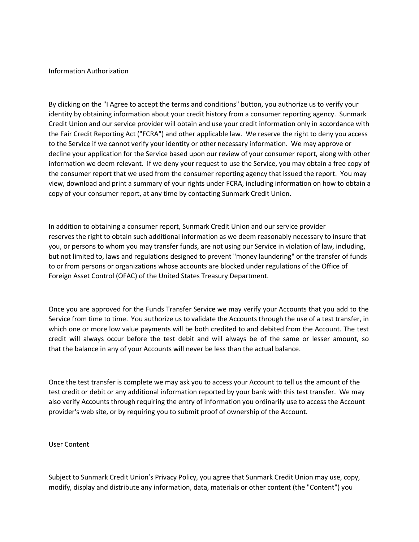#### Information Authorization

By clicking on the "I Agree to accept the terms and conditions" button, you authorize us to verify your identity by obtaining information about your credit history from a consumer reporting agency. Sunmark Credit Union and our service provider will obtain and use your credit information only in accordance with the Fair Credit Reporting Act ("FCRA") and other applicable law. We reserve the right to deny you access to the Service if we cannot verify your identity or other necessary information. We may approve or decline your application for the Service based upon our review of your consumer report, along with other information we deem relevant. If we deny your request to use the Service, you may obtain a free copy of the consumer report that we used from the consumer reporting agency that issued the report. You may view, download and print a summary of your rights under FCRA, including information on how to obtain a copy of your consumer report, at any time by contacting Sunmark Credit Union.

In addition to obtaining a consumer report, Sunmark Credit Union and our service provider reserves the right to obtain such additional information as we deem reasonably necessary to insure that you, or persons to whom you may transfer funds, are not using our Service in violation of law, including, but not limited to, laws and regulations designed to prevent "money laundering" or the transfer of funds to or from persons or organizations whose accounts are blocked under regulations of the Office of Foreign Asset Control (OFAC) of the United States Treasury Department.

Once you are approved for the Funds Transfer Service we may verify your Accounts that you add to the Service from time to time. You authorize us to validate the Accounts through the use of a test transfer, in which one or more low value payments will be both credited to and debited from the Account. The test credit will always occur before the test debit and will always be of the same or lesser amount, so that the balance in any of your Accounts will never be less than the actual balance.

Once the test transfer is complete we may ask you to access your Account to tell us the amount of the test credit or debit or any additional information reported by your bank with this test transfer. We may also verify Accounts through requiring the entry of information you ordinarily use to access the Account provider's web site, or by requiring you to submit proof of ownership of the Account.

User Content

Subject to Sunmark Credit Union's Privacy Policy, you agree that Sunmark Credit Union may use, copy, modify, display and distribute any information, data, materials or other content (the "Content") you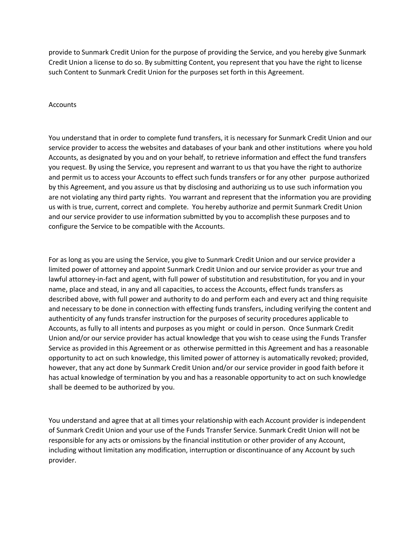provide to Sunmark Credit Union for the purpose of providing the Service, and you hereby give Sunmark Credit Union a license to do so. By submitting Content, you represent that you have the right to license such Content to Sunmark Credit Union for the purposes set forth in this Agreement.

### Accounts

You understand that in order to complete fund transfers, it is necessary for Sunmark Credit Union and our service provider to access the websites and databases of your bank and other institutions where you hold Accounts, as designated by you and on your behalf, to retrieve information and effect the fund transfers you request. By using the Service, you represent and warrant to us that you have the right to authorize and permit us to access your Accounts to effect such funds transfers or for any other purpose authorized by this Agreement, and you assure us that by disclosing and authorizing us to use such information you are not violating any third party rights. You warrant and represent that the information you are providing us with is true, current, correct and complete. You hereby authorize and permit Sunmark Credit Union and our service provider to use information submitted by you to accomplish these purposes and to configure the Service to be compatible with the Accounts.

For as long as you are using the Service, you give to Sunmark Credit Union and our service provider a limited power of attorney and appoint Sunmark Credit Union and our service provider as your true and lawful attorney-in-fact and agent, with full power of substitution and resubstitution, for you and in your name, place and stead, in any and all capacities, to access the Accounts, effect funds transfers as described above, with full power and authority to do and perform each and every act and thing requisite and necessary to be done in connection with effecting funds transfers, including verifying the content and authenticity of any funds transfer instruction for the purposes of security procedures applicable to Accounts, as fully to all intents and purposes as you might or could in person. Once Sunmark Credit Union and/or our service provider has actual knowledge that you wish to cease using the Funds Transfer Service as provided in this Agreement or as otherwise permitted in this Agreement and has a reasonable opportunity to act on such knowledge, this limited power of attorney is automatically revoked; provided, however, that any act done by Sunmark Credit Union and/or our service provider in good faith before it has actual knowledge of termination by you and has a reasonable opportunity to act on such knowledge shall be deemed to be authorized by you.

You understand and agree that at all times your relationship with each Account provider is independent of Sunmark Credit Union and your use of the Funds Transfer Service. Sunmark Credit Union will not be responsible for any acts or omissions by the financial institution or other provider of any Account, including without limitation any modification, interruption or discontinuance of any Account by such provider.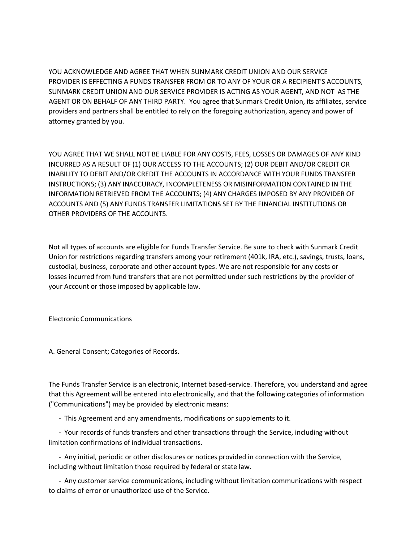YOU ACKNOWLEDGE AND AGREE THAT WHEN SUNMARK CREDIT UNION AND OUR SERVICE PROVIDER IS EFFECTING A FUNDS TRANSFER FROM OR TO ANY OF YOUR OR A RECIPIENT'S ACCOUNTS, SUNMARK CREDIT UNION AND OUR SERVICE PROVIDER IS ACTING AS YOUR AGENT, AND NOT AS THE AGENT OR ON BEHALF OF ANY THIRD PARTY. You agree that Sunmark Credit Union, its affiliates, service providers and partners shall be entitled to rely on the foregoing authorization, agency and power of attorney granted by you.

YOU AGREE THAT WE SHALL NOT BE LIABLE FOR ANY COSTS, FEES, LOSSES OR DAMAGES OF ANY KIND INCURRED AS A RESULT OF (1) OUR ACCESS TO THE ACCOUNTS; (2) OUR DEBIT AND/OR CREDIT OR INABILITY TO DEBIT AND/OR CREDIT THE ACCOUNTS IN ACCORDANCE WITH YOUR FUNDS TRANSFER INSTRUCTIONS; (3) ANY INACCURACY, INCOMPLETENESS OR MISINFORMATION CONTAINED IN THE INFORMATION RETRIEVED FROM THE ACCOUNTS; (4) ANY CHARGES IMPOSED BY ANY PROVIDER OF ACCOUNTS AND (5) ANY FUNDS TRANSFER LIMITATIONS SET BY THE FINANCIAL INSTITUTIONS OR OTHER PROVIDERS OF THE ACCOUNTS.

Not all types of accounts are eligible for Funds Transfer Service. Be sure to check with Sunmark Credit Union for restrictions regarding transfers among your retirement (401k, IRA, etc.), savings, trusts, loans, custodial, business, corporate and other account types. We are not responsible for any costs or losses incurred from fund transfers that are not permitted under such restrictions by the provider of your Account or those imposed by applicable law.

Electronic Communications

A. General Consent; Categories of Records.

The Funds Transfer Service is an electronic, Internet based-service. Therefore, you understand and agree that this Agreement will be entered into electronically, and that the following categories of information ("Communications") may be provided by electronic means:

- This Agreement and any amendments, modifications or supplements to it.

 - Your records of funds transfers and other transactions through the Service, including without limitation confirmations of individual transactions.

 - Any initial, periodic or other disclosures or notices provided in connection with the Service, including without limitation those required by federal or state law.

 - Any customer service communications, including without limitation communications with respect to claims of error or unauthorized use of the Service.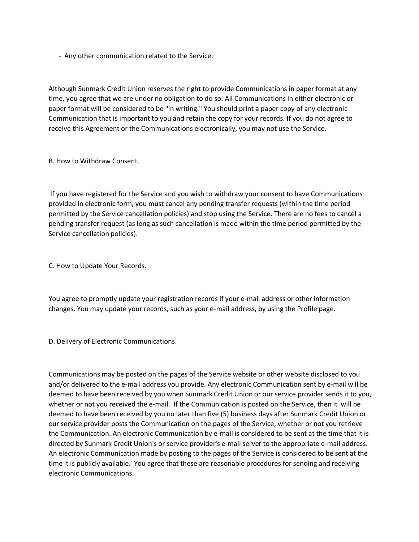- Any other communication related to the Service.

Although Sunmark Credit Union reserves the right to provide Communications in paper format at any time, you agree that we are under no obligation to do so. All Communications in either electronic or paper format will be considered to be "in writing." You should print a paper copy of any electronic Communication that is important to you and retain the copy for your records. If you do not agree to receive this Agreement or the Communications electronically, you may not use the Service.

B. How to Withdraw Consent.

If you have registered for the Service and you wish to withdraw your consent to have Communications provided in electronic form, you must cancel any pending transfer requests (within the time period permitted by the Service cancellation policies) and stop using the Service. There are no fees to cancel a pending transfer request (as long as such cancellation is made within the time period permitted by the Service cancellation policies).

C. How to Update Your Records.

You agree to promptly update your registration records if your e-mail address or other information changes. You may update your records, such as your e-mail address, by using the Profile page.

D. Delivery of Electronic Communications.

Communications may be posted on the pages of the Service website or other website disclosed to you and/or delivered to the e-mail address you provide. Any electronic Communication sent by e-mail will be deemed to have been received by you when Sunmark Credit Union or our service provider sends it to you, whether or not you received the e-mail. If the Communication is posted on the Service, then it will be deemed to have been received by you no later than five (5) business days after Sunmark Credit Union or our service provider posts the Communication on the pages of the Service, whether or not you retrieve the Communication. An electronic Communication by e-mail is considered to be sent at the time that it is directed by Sunmark Credit Union's or service provider's e-mail server to the appropriate e-mail address. An electronic Communication made by posting to the pages of the Service is considered to be sent at the time it is publicly available. You agree that these are reasonable procedures for sending and receiving electronic Communications.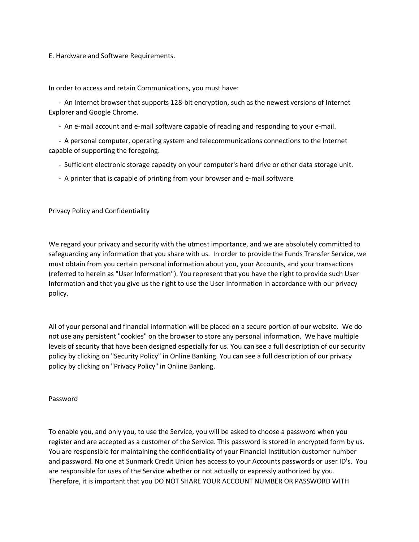## E. Hardware and Software Requirements.

In order to access and retain Communications, you must have:

 - An Internet browser that supports 128-bit encryption, such as the newest versions of Internet Explorer and Google Chrome.

- An e-mail account and e-mail software capable of reading and responding to your e-mail.

 - A personal computer, operating system and telecommunications connections to the Internet capable of supporting the foregoing.

- Sufficient electronic storage capacity on your computer's hard drive or other data storage unit.

- A printer that is capable of printing from your browser and e-mail software

Privacy Policy and Confidentiality

We regard your privacy and security with the utmost importance, and we are absolutely committed to safeguarding any information that you share with us. In order to provide the Funds Transfer Service, we must obtain from you certain personal information about you, your Accounts, and your transactions (referred to herein as "User Information"). You represent that you have the right to provide such User Information and that you give us the right to use the User Information in accordance with our privacy policy.

All of your personal and financial information will be placed on a secure portion of our website. We do not use any persistent "cookies" on the browser to store any personal information. We have multiple levels of security that have been designed especially for us. You can see a full description of our security policy by clicking on "Security Policy" in Online Banking. You can see a full description of our privacy policy by clicking on "Privacy Policy" in Online Banking.

### Password

To enable you, and only you, to use the Service, you will be asked to choose a password when you register and are accepted as a customer of the Service. This password is stored in encrypted form by us. You are responsible for maintaining the confidentiality of your Financial Institution customer number and password. No one at Sunmark Credit Union has access to your Accounts passwords or user ID's. You are responsible for uses of the Service whether or not actually or expressly authorized by you. Therefore, it is important that you DO NOT SHARE YOUR ACCOUNT NUMBER OR PASSWORD WITH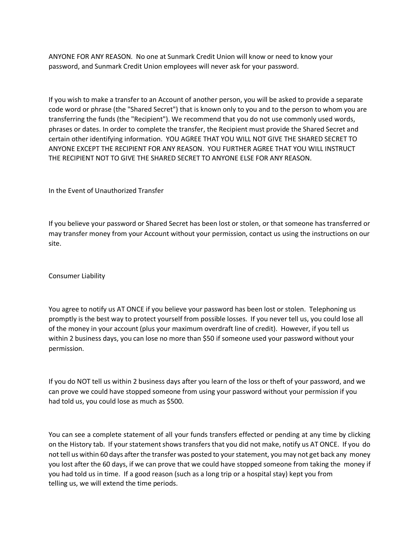ANYONE FOR ANY REASON. No one at Sunmark Credit Union will know or need to know your password, and Sunmark Credit Union employees will never ask for your password.

If you wish to make a transfer to an Account of another person, you will be asked to provide a separate code word or phrase (the "Shared Secret") that is known only to you and to the person to whom you are transferring the funds (the "Recipient"). We recommend that you do not use commonly used words, phrases or dates. In order to complete the transfer, the Recipient must provide the Shared Secret and certain other identifying information. YOU AGREE THAT YOU WILL NOT GIVE THE SHARED SECRET TO ANYONE EXCEPT THE RECIPIENT FOR ANY REASON. YOU FURTHER AGREE THAT YOU WILL INSTRUCT THE RECIPIENT NOT TO GIVE THE SHARED SECRET TO ANYONE ELSE FOR ANY REASON.

In the Event of Unauthorized Transfer

If you believe your password or Shared Secret has been lost or stolen, or that someone has transferred or may transfer money from your Account without your permission, contact us using the instructions on our site.

Consumer Liability

You agree to notify us AT ONCE if you believe your password has been lost or stolen. Telephoning us promptly is the best way to protect yourself from possible losses. If you never tell us, you could lose all of the money in your account (plus your maximum overdraft line of credit). However, if you tell us within 2 business days, you can lose no more than \$50 if someone used your password without your permission.

If you do NOT tell us within 2 business days after you learn of the loss or theft of your password, and we can prove we could have stopped someone from using your password without your permission if you had told us, you could lose as much as \$500.

You can see a complete statement of all your funds transfers effected or pending at any time by clicking on the History tab. If your statement shows transfers that you did not make, notify us AT ONCE. If you do not tell us within 60 days after the transfer was posted to your statement, you may not get back any money you lost after the 60 days, if we can prove that we could have stopped someone from taking the money if you had told us in time. If a good reason (such as a long trip or a hospital stay) kept you from telling us, we will extend the time periods.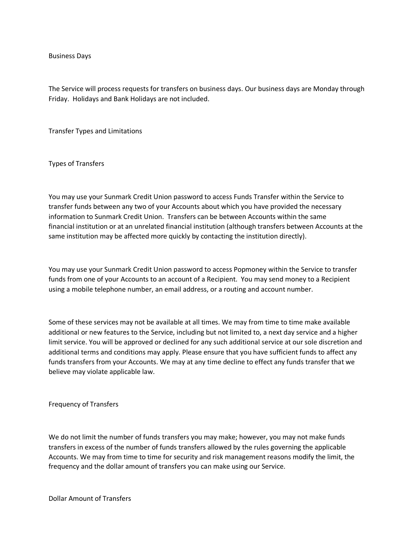Business Days

The Service will process requests for transfers on business days. Our business days are Monday through Friday. Holidays and Bank Holidays are not included.

Transfer Types and Limitations

Types of Transfers

You may use your Sunmark Credit Union password to access Funds Transfer within the Service to transfer funds between any two of your Accounts about which you have provided the necessary information to Sunmark Credit Union. Transfers can be between Accounts within the same financial institution or at an unrelated financial institution (although transfers between Accounts at the same institution may be affected more quickly by contacting the institution directly).

You may use your Sunmark Credit Union password to access Popmoney within the Service to transfer funds from one of your Accounts to an account of a Recipient. You may send money to a Recipient using a mobile telephone number, an email address, or a routing and account number.

Some of these services may not be available at all times. We may from time to time make available additional or new features to the Service, including but not limited to, a next day service and a higher limit service. You will be approved or declined for any such additional service at our sole discretion and additional terms and conditions may apply. Please ensure that you have sufficient funds to affect any funds transfers from your Accounts. We may at any time decline to effect any funds transfer that we believe may violate applicable law.

Frequency of Transfers

We do not limit the number of funds transfers you may make; however, you may not make funds transfers in excess of the number of funds transfers allowed by the rules governing the applicable Accounts. We may from time to time for security and risk management reasons modify the limit, the frequency and the dollar amount of transfers you can make using our Service.

Dollar Amount of Transfers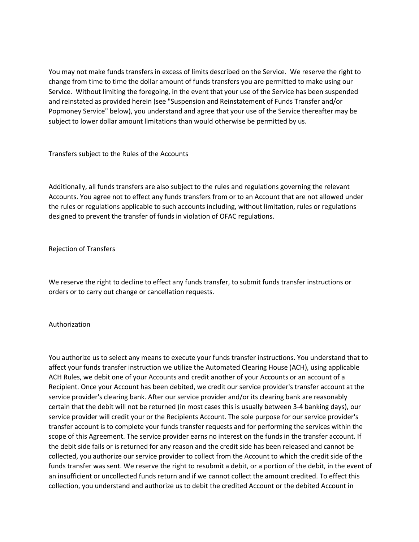You may not make funds transfers in excess of limits described on the Service. We reserve the right to change from time to time the dollar amount of funds transfers you are permitted to make using our Service. Without limiting the foregoing, in the event that your use of the Service has been suspended and reinstated as provided herein (see "Suspension and Reinstatement of Funds Transfer and/or Popmoney Service" below), you understand and agree that your use of the Service thereafter may be subject to lower dollar amount limitations than would otherwise be permitted by us.

Transfers subject to the Rules of the Accounts

Additionally, all funds transfers are also subject to the rules and regulations governing the relevant Accounts. You agree not to effect any funds transfers from or to an Account that are not allowed under the rules or regulations applicable to such accounts including, without limitation, rules or regulations designed to prevent the transfer of funds in violation of OFAC regulations.

### Rejection of Transfers

We reserve the right to decline to effect any funds transfer, to submit funds transfer instructions or orders or to carry out change or cancellation requests.

# Authorization

You authorize us to select any means to execute your funds transfer instructions. You understand that to affect your funds transfer instruction we utilize the Automated Clearing House (ACH), using applicable ACH Rules, we debit one of your Accounts and credit another of your Accounts or an account of a Recipient. Once your Account has been debited, we credit our service provider's transfer account at the service provider's clearing bank. After our service provider and/or its clearing bank are reasonably certain that the debit will not be returned (in most cases this is usually between 3-4 banking days), our service provider will credit your or the Recipients Account. The sole purpose for our service provider's transfer account is to complete your funds transfer requests and for performing the services within the scope of this Agreement. The service provider earns no interest on the funds in the transfer account. If the debit side fails or is returned for any reason and the credit side has been released and cannot be collected, you authorize our service provider to collect from the Account to which the credit side of the funds transfer was sent. We reserve the right to resubmit a debit, or a portion of the debit, in the event of an insufficient or uncollected funds return and if we cannot collect the amount credited. To effect this collection, you understand and authorize us to debit the credited Account or the debited Account in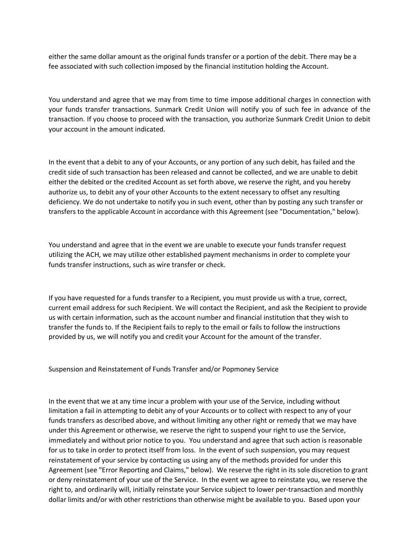either the same dollar amount as the original funds transfer or a portion of the debit. There may be a fee associated with such collection imposed by the financial institution holding the Account.

You understand and agree that we may from time to time impose additional charges in connection with your funds transfer transactions. Sunmark Credit Union will notify you of such fee in advance of the transaction. If you choose to proceed with the transaction, you authorize Sunmark Credit Union to debit your account in the amount indicated.

In the event that a debit to any of your Accounts, or any portion of any such debit, has failed and the credit side of such transaction has been released and cannot be collected, and we are unable to debit either the debited or the credited Account as set forth above, we reserve the right, and you hereby authorize us, to debit any of your other Accounts to the extent necessary to offset any resulting deficiency. We do not undertake to notify you in such event, other than by posting any such transfer or transfers to the applicable Account in accordance with this Agreement (see "Documentation," below).

You understand and agree that in the event we are unable to execute your funds transfer request utilizing the ACH, we may utilize other established payment mechanisms in order to complete your funds transfer instructions, such as wire transfer or check.

If you have requested for a funds transfer to a Recipient, you must provide us with a true, correct, current email address for such Recipient. We will contact the Recipient, and ask the Recipient to provide us with certain information, such as the account number and financial institution that they wish to transfer the funds to. If the Recipient fails to reply to the email or fails to follow the instructions provided by us, we will notify you and credit your Account for the amount of the transfer.

Suspension and Reinstatement of Funds Transfer and/or Popmoney Service

In the event that we at any time incur a problem with your use of the Service, including without limitation a fail in attempting to debit any of your Accounts or to collect with respect to any of your funds transfers as described above, and without limiting any other right or remedy that we may have under this Agreement or otherwise, we reserve the right to suspend your right to use the Service, immediately and without prior notice to you. You understand and agree that such action is reasonable for us to take in order to protect itself from loss. In the event of such suspension, you may request reinstatement of your service by contacting us using any of the methods provided for under this Agreement (see "Error Reporting and Claims," below). We reserve the right in its sole discretion to grant or deny reinstatement of your use of the Service. In the event we agree to reinstate you, we reserve the right to, and ordinarily will, initially reinstate your Service subject to lower per-transaction and monthly dollar limits and/or with other restrictions than otherwise might be available to you. Based upon your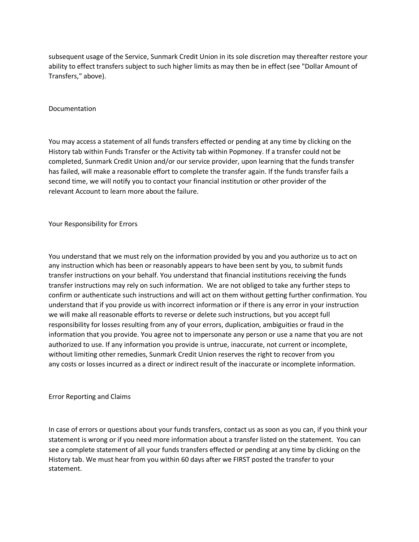subsequent usage of the Service, Sunmark Credit Union in its sole discretion may thereafter restore your ability to effect transfers subject to such higher limits as may then be in effect (see "Dollar Amount of Transfers," above).

### Documentation

You may access a statement of all funds transfers effected or pending at any time by clicking on the History tab within Funds Transfer or the Activity tab within Popmoney. If a transfer could not be completed, Sunmark Credit Union and/or our service provider, upon learning that the funds transfer has failed, will make a reasonable effort to complete the transfer again. If the funds transfer fails a second time, we will notify you to contact your financial institution or other provider of the relevant Account to learn more about the failure.

Your Responsibility for Errors

You understand that we must rely on the information provided by you and you authorize us to act on any instruction which has been or reasonably appears to have been sent by you, to submit funds transfer instructions on your behalf. You understand that financial institutions receiving the funds transfer instructions may rely on such information. We are not obliged to take any further steps to confirm or authenticate such instructions and will act on them without getting further confirmation. You understand that if you provide us with incorrect information or if there is any error in your instruction we will make all reasonable efforts to reverse or delete such instructions, but you accept full responsibility for losses resulting from any of your errors, duplication, ambiguities or fraud in the information that you provide. You agree not to impersonate any person or use a name that you are not authorized to use. If any information you provide is untrue, inaccurate, not current or incomplete, without limiting other remedies, Sunmark Credit Union reserves the right to recover from you any costs or losses incurred as a direct or indirect result of the inaccurate or incomplete information.

Error Reporting and Claims

In case of errors or questions about your funds transfers, contact us as soon as you can, if you think your statement is wrong or if you need more information about a transfer listed on the statement. You can see a complete statement of all your funds transfers effected or pending at any time by clicking on the History tab. We must hear from you within 60 days after we FIRST posted the transfer to your statement.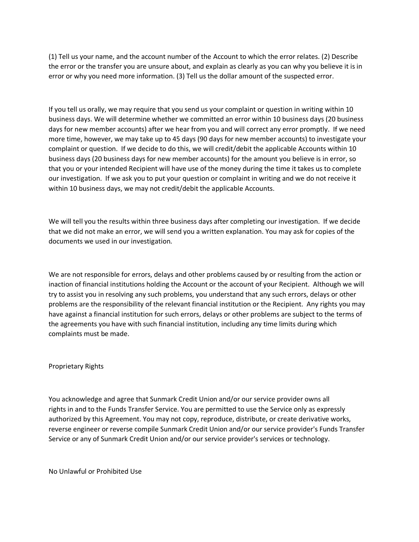(1) Tell us your name, and the account number of the Account to which the error relates. (2) Describe the error or the transfer you are unsure about, and explain as clearly as you can why you believe it is in error or why you need more information. (3) Tell us the dollar amount of the suspected error.

If you tell us orally, we may require that you send us your complaint or question in writing within 10 business days. We will determine whether we committed an error within 10 business days (20 business days for new member accounts) after we hear from you and will correct any error promptly. If we need more time, however, we may take up to 45 days (90 days for new member accounts) to investigate your complaint or question. If we decide to do this, we will credit/debit the applicable Accounts within 10 business days (20 business days for new member accounts) for the amount you believe is in error, so that you or your intended Recipient will have use of the money during the time it takes us to complete our investigation. If we ask you to put your question or complaint in writing and we do not receive it within 10 business days, we may not credit/debit the applicable Accounts.

We will tell you the results within three business days after completing our investigation. If we decide that we did not make an error, we will send you a written explanation. You may ask for copies of the documents we used in our investigation.

We are not responsible for errors, delays and other problems caused by or resulting from the action or inaction of financial institutions holding the Account or the account of your Recipient. Although we will try to assist you in resolving any such problems, you understand that any such errors, delays or other problems are the responsibility of the relevant financial institution or the Recipient. Any rights you may have against a financial institution for such errors, delays or other problems are subject to the terms of the agreements you have with such financial institution, including any time limits during which complaints must be made.

### Proprietary Rights

You acknowledge and agree that Sunmark Credit Union and/or our service provider owns all rights in and to the Funds Transfer Service. You are permitted to use the Service only as expressly authorized by this Agreement. You may not copy, reproduce, distribute, or create derivative works, reverse engineer or reverse compile Sunmark Credit Union and/or our service provider's Funds Transfer Service or any of Sunmark Credit Union and/or our service provider's services or technology.

No Unlawful or Prohibited Use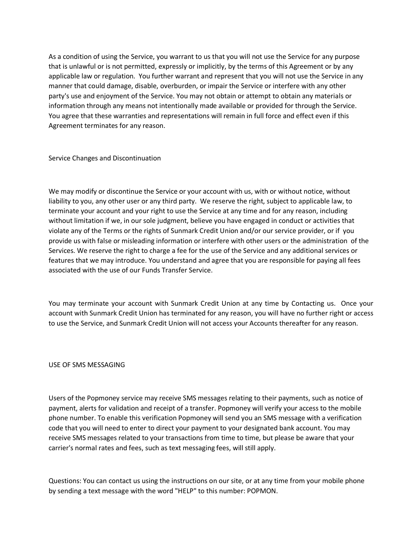As a condition of using the Service, you warrant to us that you will not use the Service for any purpose that is unlawful or is not permitted, expressly or implicitly, by the terms of this Agreement or by any applicable law or regulation. You further warrant and represent that you will not use the Service in any manner that could damage, disable, overburden, or impair the Service or interfere with any other party's use and enjoyment of the Service. You may not obtain or attempt to obtain any materials or information through any means not intentionally made available or provided for through the Service. You agree that these warranties and representations will remain in full force and effect even if this Agreement terminates for any reason.

Service Changes and Discontinuation

We may modify or discontinue the Service or your account with us, with or without notice, without liability to you, any other user or any third party. We reserve the right, subject to applicable law, to terminate your account and your right to use the Service at any time and for any reason, including without limitation if we, in our sole judgment, believe you have engaged in conduct or activities that violate any of the Terms or the rights of Sunmark Credit Union and/or our service provider, or if you provide us with false or misleading information or interfere with other users or the administration of the Services. We reserve the right to charge a fee for the use of the Service and any additional services or features that we may introduce. You understand and agree that you are responsible for paying all fees associated with the use of our Funds Transfer Service.

You may terminate your account with Sunmark Credit Union at any time by Contacting us. Once your account with Sunmark Credit Union has terminated for any reason, you will have no further right or access to use the Service, and Sunmark Credit Union will not access your Accounts thereafter for any reason.

USE OF SMS MESSAGING

Users of the Popmoney service may receive SMS messages relating to their payments, such as notice of payment, alerts for validation and receipt of a transfer. Popmoney will verify your access to the mobile phone number. To enable this verification Popmoney will send you an SMS message with a verification code that you will need to enter to direct your payment to your designated bank account. You may receive SMS messages related to your transactions from time to time, but please be aware that your carrier's normal rates and fees, such as text messaging fees, will still apply.

Questions: You can contact us using the instructions on our site, or at any time from your mobile phone by sending a text message with the word "HELP" to this number: POPMON.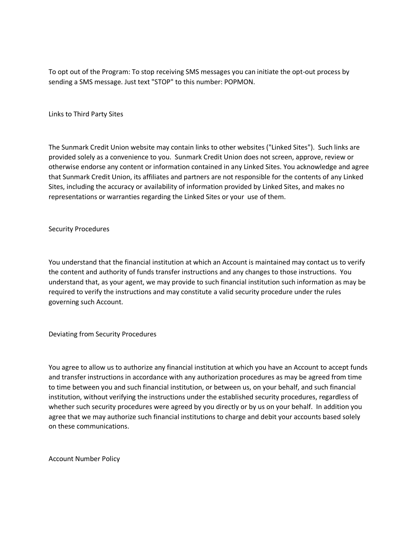To opt out of the Program: To stop receiving SMS messages you can initiate the opt-out process by sending a SMS message. Just text "STOP" to this number: POPMON.

Links to Third Party Sites

The Sunmark Credit Union website may contain links to other websites ("Linked Sites"). Such links are provided solely as a convenience to you. Sunmark Credit Union does not screen, approve, review or otherwise endorse any content or information contained in any Linked Sites. You acknowledge and agree that Sunmark Credit Union, its affiliates and partners are not responsible for the contents of any Linked Sites, including the accuracy or availability of information provided by Linked Sites, and makes no representations or warranties regarding the Linked Sites or your use of them.

Security Procedures

You understand that the financial institution at which an Account is maintained may contact us to verify the content and authority of funds transfer instructions and any changes to those instructions. You understand that, as your agent, we may provide to such financial institution such information as may be required to verify the instructions and may constitute a valid security procedure under the rules governing such Account.

Deviating from Security Procedures

You agree to allow us to authorize any financial institution at which you have an Account to accept funds and transfer instructions in accordance with any authorization procedures as may be agreed from time to time between you and such financial institution, or between us, on your behalf, and such financial institution, without verifying the instructions under the established security procedures, regardless of whether such security procedures were agreed by you directly or by us on your behalf. In addition you agree that we may authorize such financial institutions to charge and debit your accounts based solely on these communications.

Account Number Policy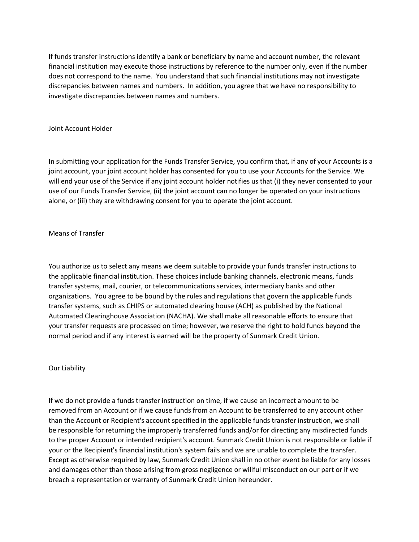If funds transfer instructions identify a bank or beneficiary by name and account number, the relevant financial institution may execute those instructions by reference to the number only, even if the number does not correspond to the name. You understand that such financial institutions may not investigate discrepancies between names and numbers. In addition, you agree that we have no responsibility to investigate discrepancies between names and numbers.

### Joint Account Holder

In submitting your application for the Funds Transfer Service, you confirm that, if any of your Accounts is a joint account, your joint account holder has consented for you to use your Accounts for the Service. We will end your use of the Service if any joint account holder notifies us that (i) they never consented to your use of our Funds Transfer Service, (ii) the joint account can no longer be operated on your instructions alone, or (iii) they are withdrawing consent for you to operate the joint account.

# Means of Transfer

You authorize us to select any means we deem suitable to provide your funds transfer instructions to the applicable financial institution. These choices include banking channels, electronic means, funds transfer systems, mail, courier, or telecommunications services, intermediary banks and other organizations. You agree to be bound by the rules and regulations that govern the applicable funds transfer systems, such as CHIPS or automated clearing house (ACH) as published by the National Automated Clearinghouse Association (NACHA). We shall make all reasonable efforts to ensure that your transfer requests are processed on time; however, we reserve the right to hold funds beyond the normal period and if any interest is earned will be the property of Sunmark Credit Union.

### Our Liability

If we do not provide a funds transfer instruction on time, if we cause an incorrect amount to be removed from an Account or if we cause funds from an Account to be transferred to any account other than the Account or Recipient's account specified in the applicable funds transfer instruction, we shall be responsible for returning the improperly transferred funds and/or for directing any misdirected funds to the proper Account or intended recipient's account. Sunmark Credit Union is not responsible or liable if your or the Recipient's financial institution's system fails and we are unable to complete the transfer. Except as otherwise required by law, Sunmark Credit Union shall in no other event be liable for any losses and damages other than those arising from gross negligence or willful misconduct on our part or if we breach a representation or warranty of Sunmark Credit Union hereunder.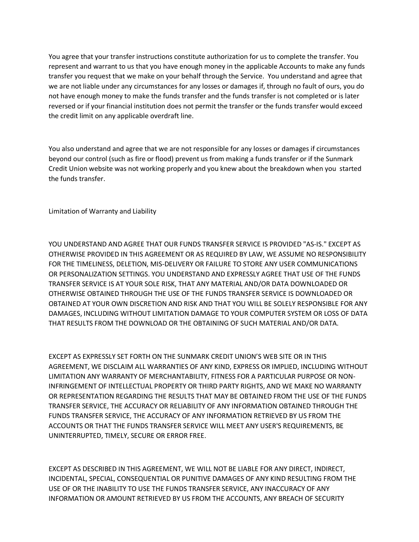You agree that your transfer instructions constitute authorization for us to complete the transfer. You represent and warrant to us that you have enough money in the applicable Accounts to make any funds transfer you request that we make on your behalf through the Service. You understand and agree that we are not liable under any circumstances for any losses or damages if, through no fault of ours, you do not have enough money to make the funds transfer and the funds transfer is not completed or is later reversed or if your financial institution does not permit the transfer or the funds transfer would exceed the credit limit on any applicable overdraft line.

You also understand and agree that we are not responsible for any losses or damages if circumstances beyond our control (such as fire or flood) prevent us from making a funds transfer or if the Sunmark Credit Union website was not working properly and you knew about the breakdown when you started the funds transfer.

Limitation of Warranty and Liability

YOU UNDERSTAND AND AGREE THAT OUR FUNDS TRANSFER SERVICE IS PROVIDED "AS-IS." EXCEPT AS OTHERWISE PROVIDED IN THIS AGREEMENT OR AS REQUIRED BY LAW, WE ASSUME NO RESPONSIBILITY FOR THE TIMELINESS, DELETION, MIS-DELIVERY OR FAILURE TO STORE ANY USER COMMUNICATIONS OR PERSONALIZATION SETTINGS. YOU UNDERSTAND AND EXPRESSLY AGREE THAT USE OF THE FUNDS TRANSFER SERVICE IS AT YOUR SOLE RISK, THAT ANY MATERIAL AND/OR DATA DOWNLOADED OR OTHERWISE OBTAINED THROUGH THE USE OF THE FUNDS TRANSFER SERVICE IS DOWNLOADED OR OBTAINED AT YOUR OWN DISCRETION AND RISK AND THAT YOU WILL BE SOLELY RESPONSIBLE FOR ANY DAMAGES, INCLUDING WITHOUT LIMITATION DAMAGE TO YOUR COMPUTER SYSTEM OR LOSS OF DATA THAT RESULTS FROM THE DOWNLOAD OR THE OBTAINING OF SUCH MATERIAL AND/OR DATA.

EXCEPT AS EXPRESSLY SET FORTH ON THE SUNMARK CREDIT UNION'S WEB SITE OR IN THIS AGREEMENT, WE DISCLAIM ALL WARRANTIES OF ANY KIND, EXPRESS OR IMPLIED, INCLUDING WITHOUT LIMITATION ANY WARRANTY OF MERCHANTABILITY, FITNESS FOR A PARTICULAR PURPOSE OR NON-INFRINGEMENT OF INTELLECTUAL PROPERTY OR THIRD PARTY RIGHTS, AND WE MAKE NO WARRANTY OR REPRESENTATION REGARDING THE RESULTS THAT MAY BE OBTAINED FROM THE USE OF THE FUNDS TRANSFER SERVICE, THE ACCURACY OR RELIABILITY OF ANY INFORMATION OBTAINED THROUGH THE FUNDS TRANSFER SERVICE, THE ACCURACY OF ANY INFORMATION RETRIEVED BY US FROM THE ACCOUNTS OR THAT THE FUNDS TRANSFER SERVICE WILL MEET ANY USER'S REQUIREMENTS, BE UNINTERRUPTED, TIMELY, SECURE OR ERROR FREE.

EXCEPT AS DESCRIBED IN THIS AGREEMENT, WE WILL NOT BE LIABLE FOR ANY DIRECT, INDIRECT, INCIDENTAL, SPECIAL, CONSEQUENTIAL OR PUNITIVE DAMAGES OF ANY KIND RESULTING FROM THE USE OF OR THE INABILITY TO USE THE FUNDS TRANSFER SERVICE, ANY INACCURACY OF ANY INFORMATION OR AMOUNT RETRIEVED BY US FROM THE ACCOUNTS, ANY BREACH OF SECURITY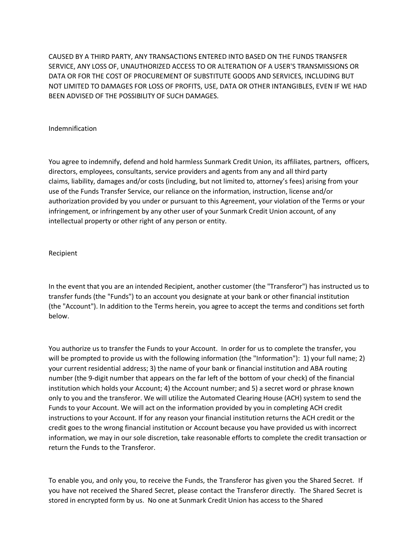CAUSED BY A THIRD PARTY, ANY TRANSACTIONS ENTERED INTO BASED ON THE FUNDS TRANSFER SERVICE, ANY LOSS OF, UNAUTHORIZED ACCESS TO OR ALTERATION OF A USER'S TRANSMISSIONS OR DATA OR FOR THE COST OF PROCUREMENT OF SUBSTITUTE GOODS AND SERVICES, INCLUDING BUT NOT LIMITED TO DAMAGES FOR LOSS OF PROFITS, USE, DATA OR OTHER INTANGIBLES, EVEN IF WE HAD BEEN ADVISED OF THE POSSIBILITY OF SUCH DAMAGES.

## Indemnification

You agree to indemnify, defend and hold harmless Sunmark Credit Union, its affiliates, partners, officers, directors, employees, consultants, service providers and agents from any and all third party claims, liability, damages and/or costs (including, but not limited to, attorney's fees) arising from your use of the Funds Transfer Service, our reliance on the information, instruction, license and/or authorization provided by you under or pursuant to this Agreement, your violation of the Terms or your infringement, or infringement by any other user of your Sunmark Credit Union account, of any intellectual property or other right of any person or entity.

# Recipient

In the event that you are an intended Recipient, another customer (the "Transferor") has instructed us to transfer funds (the "Funds") to an account you designate at your bank or other financial institution (the "Account"). In addition to the Terms herein, you agree to accept the terms and conditions set forth below.

You authorize us to transfer the Funds to your Account. In order for us to complete the transfer, you will be prompted to provide us with the following information (the "Information"): 1) your full name; 2) your current residential address; 3) the name of your bank or financial institution and ABA routing number (the 9-digit number that appears on the far left of the bottom of your check) of the financial institution which holds your Account; 4) the Account number; and 5) a secret word or phrase known only to you and the transferor. We will utilize the Automated Clearing House (ACH) system to send the Funds to your Account. We will act on the information provided by you in completing ACH credit instructions to your Account. If for any reason your financial institution returns the ACH credit or the credit goes to the wrong financial institution or Account because you have provided us with incorrect information, we may in our sole discretion, take reasonable efforts to complete the credit transaction or return the Funds to the Transferor.

To enable you, and only you, to receive the Funds, the Transferor has given you the Shared Secret. If you have not received the Shared Secret, please contact the Transferor directly. The Shared Secret is stored in encrypted form by us. No one at Sunmark Credit Union has access to the Shared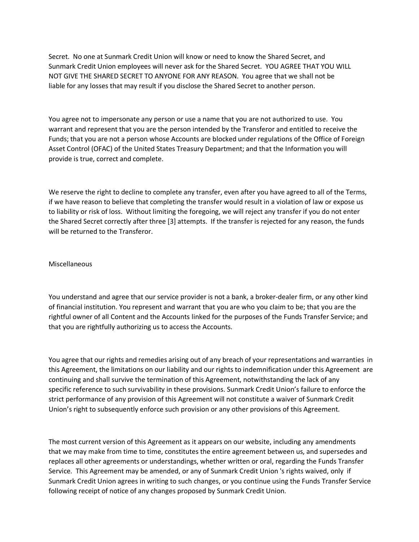Secret. No one at Sunmark Credit Union will know or need to know the Shared Secret, and Sunmark Credit Union employees will never ask for the Shared Secret. YOU AGREE THAT YOU WILL NOT GIVE THE SHARED SECRET TO ANYONE FOR ANY REASON. You agree that we shall not be liable for any losses that may result if you disclose the Shared Secret to another person.

You agree not to impersonate any person or use a name that you are not authorized to use. You warrant and represent that you are the person intended by the Transferor and entitled to receive the Funds; that you are not a person whose Accounts are blocked under regulations of the Office of Foreign Asset Control (OFAC) of the United States Treasury Department; and that the Information you will provide is true, correct and complete.

We reserve the right to decline to complete any transfer, even after you have agreed to all of the Terms, if we have reason to believe that completing the transfer would result in a violation of law or expose us to liability or risk of loss. Without limiting the foregoing, we will reject any transfer if you do not enter the Shared Secret correctly after three [3] attempts. If the transfer is rejected for any reason, the funds will be returned to the Transferor.

### Miscellaneous

You understand and agree that our service provider is not a bank, a broker-dealer firm, or any other kind of financial institution. You represent and warrant that you are who you claim to be; that you are the rightful owner of all Content and the Accounts linked for the purposes of the Funds Transfer Service; and that you are rightfully authorizing us to access the Accounts.

You agree that our rights and remedies arising out of any breach of your representations and warranties in this Agreement, the limitations on our liability and our rights to indemnification under this Agreement are continuing and shall survive the termination of this Agreement, notwithstanding the lack of any specific reference to such survivability in these provisions. Sunmark Credit Union's failure to enforce the strict performance of any provision of this Agreement will not constitute a waiver of Sunmark Credit Union's right to subsequently enforce such provision or any other provisions of this Agreement.

The most current version of this Agreement as it appears on our website, including any amendments that we may make from time to time, constitutes the entire agreement between us, and supersedes and replaces all other agreements or understandings, whether written or oral, regarding the Funds Transfer Service. This Agreement may be amended, or any of Sunmark Credit Union 's rights waived, only if Sunmark Credit Union agrees in writing to such changes, or you continue using the Funds Transfer Service following receipt of notice of any changes proposed by Sunmark Credit Union.